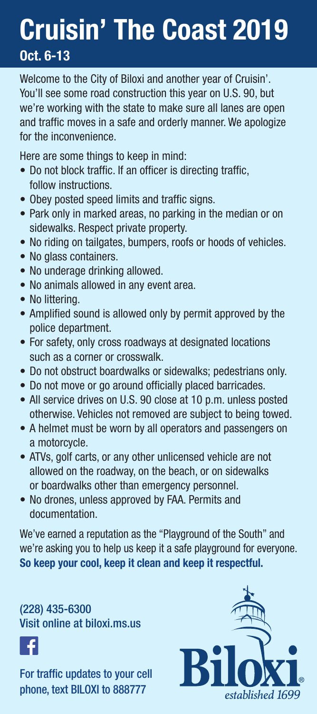## **Cruisin' The Coast 2019 Oct. 6-13**

Welcome to the City of Biloxi and another year of Cruisin'. You'll see some road construction this year on U.S. 90, but we're working with the state to make sure all lanes are open and traffic moves in a safe and orderly manner. We apologize for the inconvenience.

Here are some things to keep in mind:

- Do not block traffic. If an officer is directing traffic, follow instructions.
- Obey posted speed limits and traffic signs.
- Park only in marked areas, no parking in the median or on sidewalks. Respect private property.
- No riding on tailgates, bumpers, roofs or hoods of vehicles.
- No glass containers.
- No underage drinking allowed.
- No animals allowed in any event area.
- No littering.
- Amplified sound is allowed only by permit approved by the police department.
- For safety, only cross roadways at designated locations such as a corner or crosswalk.
- Do not obstruct boardwalks or sidewalks; pedestrians only.
- Do not move or go around officially placed barricades.
- All service drives on U.S. 90 close at 10 p.m. unless posted otherwise. Vehicles not removed are subject to being towed.
- A helmet must be worn by all operators and passengers on a motorcycle.
- ATVs, golf carts, or any other unlicensed vehicle are not allowed on the roadway, on the beach, or on sidewalks or boardwalks other than emergency personnel.
- No drones, unless approved by FAA. Permits and documentation.

We've earned a reputation as the "Playground of the South" and we're asking you to help us keep it a safe playground for everyone. **So keep your cool, keep it clean and keep it respectful.**

(228) 435-6300 Visit online at biloxi.ms.us



For traffic updates to your cell phone, text BILOXI to 888777